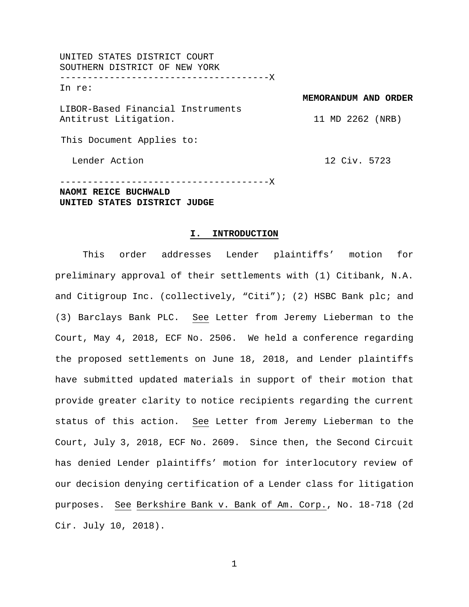UNITED STATES DISTRICT COURT SOUTHERN DISTRICT OF NEW YORK --------------------------------------X In re: LIBOR-Based Financial Instruments Antitrust Litigation. This Document Applies to: Lender Action **MEMORANDUM AND ORDER** 11 MD 2262 (NRB) 12 Civ. 5723

--------------------------------------X **NAOMI REICE BUCHWALD UNITED STATES DISTRICT JUDGE**

#### **I. INTRODUCTION**

This order addresses Lender plaintiffs' motion for preliminary approval of their settlements with (1) Citibank, N.A. and Citigroup Inc. (collectively, "Citi"); (2) HSBC Bank plc; and (3) Barclays Bank PLC. See Letter from Jeremy Lieberman to the Court, May 4, 2018, ECF No. 2506. We held a conference regarding the proposed settlements on June 18, 2018, and Lender plaintiffs have submitted updated materials in support of their motion that provide greater clarity to notice recipients regarding the current status of this action. See Letter from Jeremy Lieberman to the Court, July 3, 2018, ECF No. 2609. Since then, the Second Circuit has denied Lender plaintiffs' motion for interlocutory review of our decision denying certification of a Lender class for litigation purposes. See Berkshire Bank v. Bank of Am. Corp., No. 18-718 (2d Cir. July 10, 2018).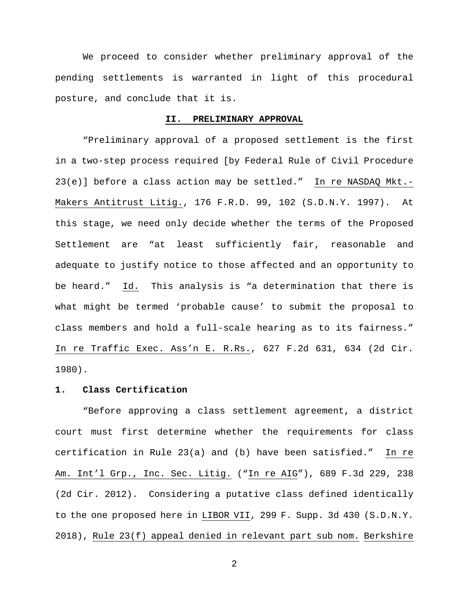We proceed to consider whether preliminary approval of the pending settlements is warranted in light of this procedural posture, and conclude that it is.

### **II. PRELIMINARY APPROVAL**

"Preliminary approval of a proposed settlement is the first in a two-step process required [by Federal Rule of Civil Procedure 23(e)] before a class action may be settled." In re NASDAQ Mkt.- Makers Antitrust Litig., 176 F.R.D. 99, 102 (S.D.N.Y. 1997). At this stage, we need only decide whether the terms of the Proposed Settlement are "at least sufficiently fair, reasonable and adequate to justify notice to those affected and an opportunity to be heard." Id. This analysis is "a determination that there is what might be termed 'probable cause' to submit the proposal to class members and hold a full-scale hearing as to its fairness." In re Traffic Exec. Ass'n E. R.Rs., 627 F.2d 631, 634 (2d Cir. 1980).

# **1. Class Certification**

"Before approving a class settlement agreement, a district court must first determine whether the requirements for class certification in Rule 23(a) and (b) have been satisfied." In re Am. Int'l Grp., Inc. Sec. Litig. ("In re AIG"), 689 F.3d 229, 238 (2d Cir. 2012). Considering a putative class defined identically to the one proposed here in LIBOR VII, 299 F. Supp. 3d 430 (S.D.N.Y. 2018), Rule 23(f) appeal denied in relevant part sub nom. Berkshire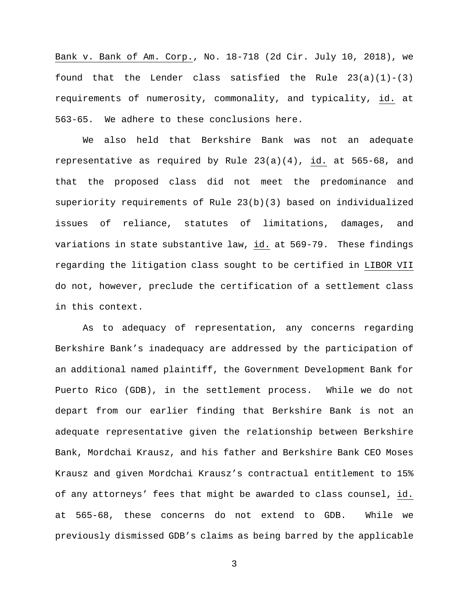Bank v. Bank of Am. Corp., No. 18-718 (2d Cir. July 10, 2018), we found that the Lender class satisfied the Rule  $23(a)(1)-(3)$ requirements of numerosity, commonality, and typicality, id. at 563-65. We adhere to these conclusions here.

We also held that Berkshire Bank was not an adequate representative as required by Rule 23(a)(4), id. at 565-68, and that the proposed class did not meet the predominance and superiority requirements of Rule 23(b)(3) based on individualized issues of reliance, statutes of limitations, damages, and variations in state substantive law, id. at 569-79. These findings regarding the litigation class sought to be certified in LIBOR VII do not, however, preclude the certification of a settlement class in this context.

As to adequacy of representation, any concerns regarding Berkshire Bank's inadequacy are addressed by the participation of an additional named plaintiff, the Government Development Bank for Puerto Rico (GDB), in the settlement process. While we do not depart from our earlier finding that Berkshire Bank is not an adequate representative given the relationship between Berkshire Bank, Mordchai Krausz, and his father and Berkshire Bank CEO Moses Krausz and given Mordchai Krausz's contractual entitlement to 15% of any attorneys' fees that might be awarded to class counsel, id. at 565-68, these concerns do not extend to GDB. While we previously dismissed GDB's claims as being barred by the applicable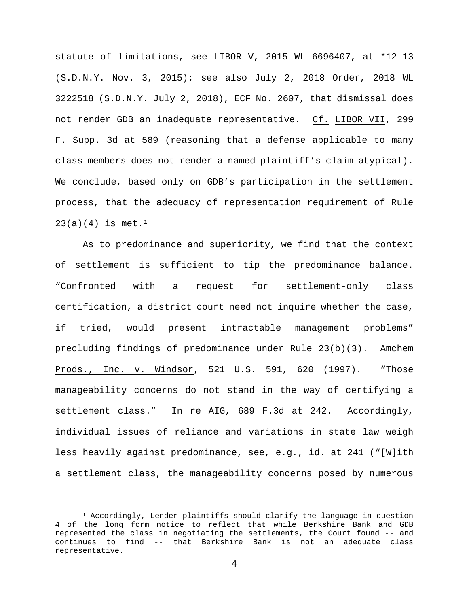statute of limitations, see LIBOR V, 2015 WL 6696407, at \*12-13 (S.D.N.Y. Nov. 3, 2015); see also July 2, 2018 Order, 2018 WL 3222518 (S.D.N.Y. July 2, 2018), ECF No. 2607, that dismissal does not render GDB an inadequate representative. Cf. LIBOR VII, 299 F. Supp. 3d at 589 (reasoning that a defense applicable to many class members does not render a named plaintiff's claim atypical). We conclude, based only on GDB's participation in the settlement process, that the adequacy of representation requirement of Rule  $23(a)(4)$  is met.<sup>[1](#page-3-0)</sup>

As to predominance and superiority, we find that the context of settlement is sufficient to tip the predominance balance. "Confronted with a request for settlement-only class certification, a district court need not inquire whether the case, if tried, would present intractable management problems" precluding findings of predominance under Rule 23(b)(3). Amchem Prods., Inc. v. Windsor, 521 U.S. 591, 620 (1997). "Those manageability concerns do not stand in the way of certifying a settlement class." In re AIG, 689 F.3d at 242. Accordingly, individual issues of reliance and variations in state law weigh less heavily against predominance, see, e.g., id. at 241 ("[W]ith a settlement class, the manageability concerns posed by numerous

<span id="page-3-0"></span> $1$  Accordingly, Lender plaintiffs should clarify the language in question 4 of the long form notice to reflect that while Berkshire Bank and GDB represented the class in negotiating the settlements, the Court found -- and continues to find -- that Berkshire Bank is not an adequate class representative.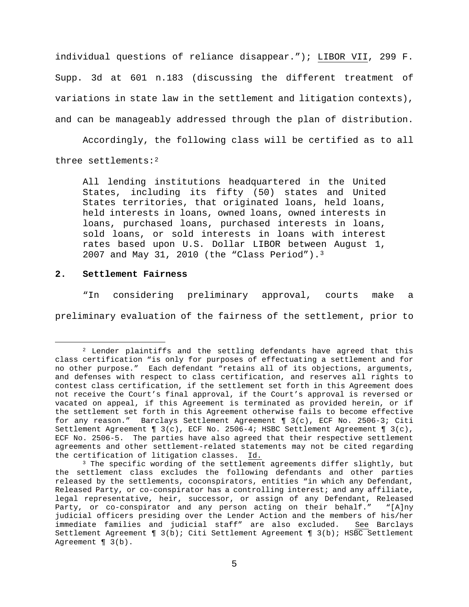individual questions of reliance disappear."); LIBOR VII, 299 F. Supp. 3d at 601 n.183 (discussing the different treatment of variations in state law in the settlement and litigation contexts), and can be manageably addressed through the plan of distribution.

Accordingly, the following class will be certified as to all three settlements:[2](#page-4-0)

All lending institutions headquartered in the United States, including its fifty (50) states and United States territories, that originated loans, held loans, held interests in loans, owned loans, owned interests in loans, purchased loans, purchased interests in loans, sold loans, or sold interests in loans with interest rates based upon U.S. Dollar LIBOR between August 1, 2007 and May 31, 2010 (the "Class Period").[3](#page-4-1)

# **2. Settlement Fairness**

"In considering preliminary approval, courts make a preliminary evaluation of the fairness of the settlement, prior to

<span id="page-4-0"></span> <sup>2</sup> Lender plaintiffs and the settling defendants have agreed that this class certification "is only for purposes of effectuating a settlement and for no other purpose." Each defendant "retains all of its objections, arguments, and defenses with respect to class certification, and reserves all rights to contest class certification, if the settlement set forth in this Agreement does not receive the Court's final approval, if the Court's approval is reversed or vacated on appeal, if this Agreement is terminated as provided herein, or if the settlement set forth in this Agreement otherwise fails to become effective for any reason." Barclays Settlement Agreement ¶ 3(c), ECF No. 2506-3; Citi Settlement Agreement ¶ 3(c), ECF No. 2506-4; HSBC Settlement Agreement ¶ 3(c), ECF No. 2506-5. The parties have also agreed that their respective settlement agreements and other settlement-related statements may not be cited regarding the certification of litigation classes. Id.

<span id="page-4-1"></span><sup>&</sup>lt;sup>3</sup> The specific wording of the settlement agreements differ slightly, but the settlement class excludes the following defendants and other parties released by the settlements, coconspirators, entities "in which any Defendant, Released Party, or co-conspirator has a controlling interest; and any affiliate, legal representative, heir, successor, or assign of any Defendant, Released<br>Party, or co-conspirator and any person acting on their behalf." "[A]ny Party, or co-conspirator and any person acting on their behalf." judicial officers presiding over the Lender Action and the members of his/her<br>immediate families and judicial staff" are also excluded. See Barclays immediate families and judicial staff" are also excluded. Settlement Agreement ¶ 3(b); Citi Settlement Agreement ¶ 3(b); HSBC Settlement Agreement ¶ 3(b).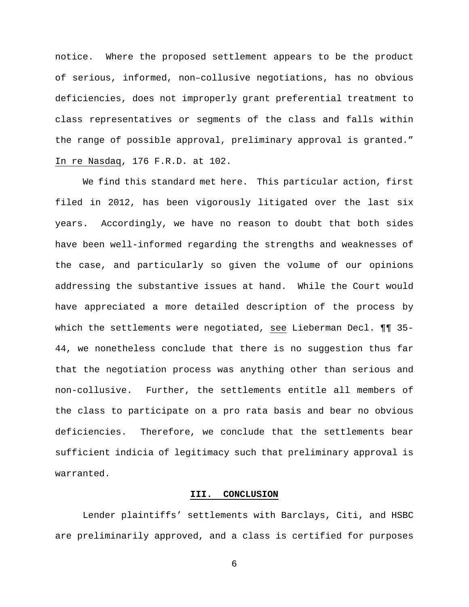notice. Where the proposed settlement appears to be the product of serious, informed, non–collusive negotiations, has no obvious deficiencies, does not improperly grant preferential treatment to class representatives or segments of the class and falls within the range of possible approval, preliminary approval is granted." In re Nasdaq, 176 F.R.D. at 102.

We find this standard met here. This particular action, first filed in 2012, has been vigorously litigated over the last six years. Accordingly, we have no reason to doubt that both sides have been well-informed regarding the strengths and weaknesses of the case, and particularly so given the volume of our opinions addressing the substantive issues at hand. While the Court would have appreciated a more detailed description of the process by which the settlements were negotiated, see Lieberman Decl. ¶¶ 35- 44, we nonetheless conclude that there is no suggestion thus far that the negotiation process was anything other than serious and non-collusive. Further, the settlements entitle all members of the class to participate on a pro rata basis and bear no obvious deficiencies. Therefore, we conclude that the settlements bear sufficient indicia of legitimacy such that preliminary approval is warranted.

### **III. CONCLUSION**

Lender plaintiffs' settlements with Barclays, Citi, and HSBC are preliminarily approved, and a class is certified for purposes